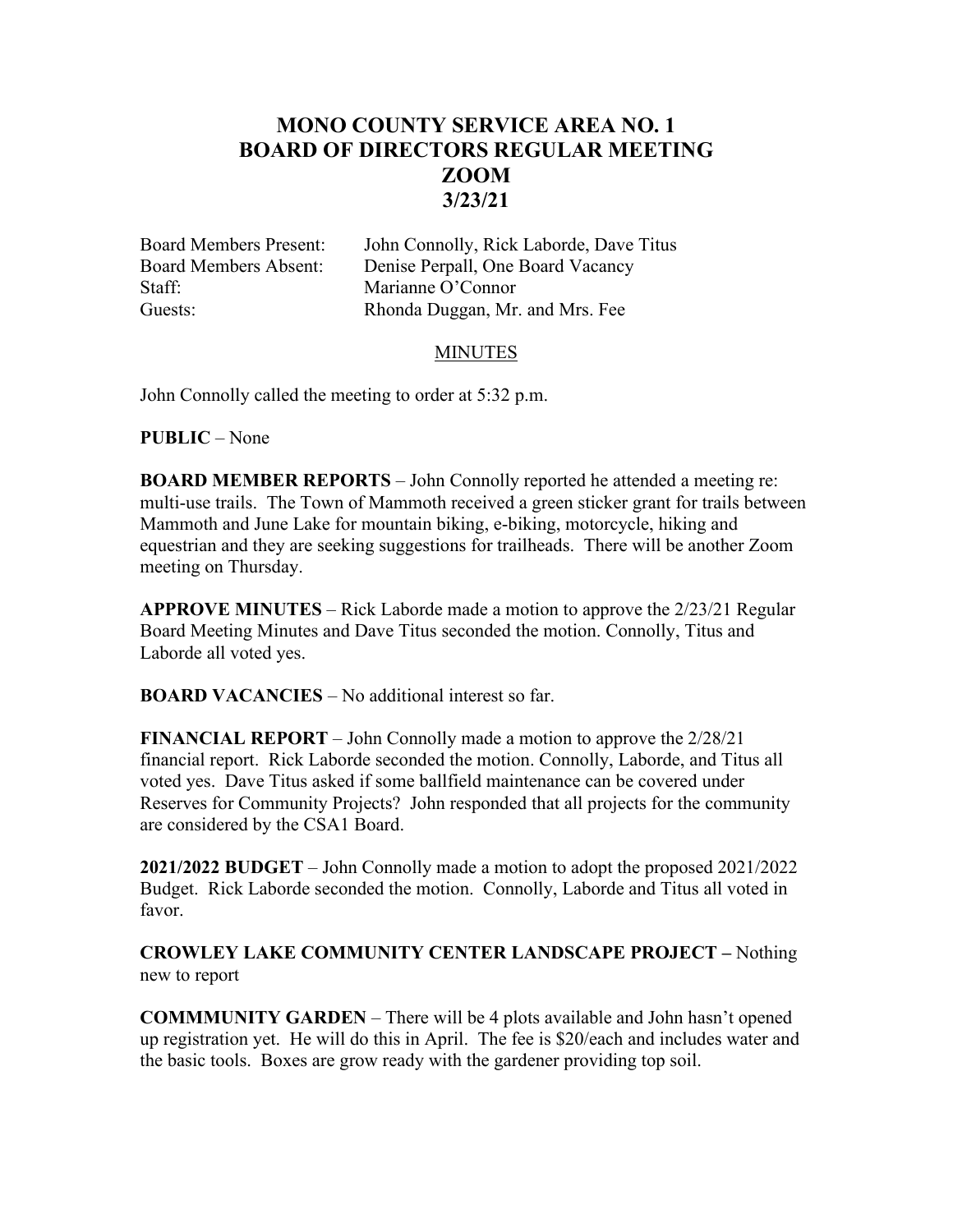## **MONO COUNTY SERVICE AREA NO. 1 BOARD OF DIRECTORS REGULAR MEETING ZOOM 3/23/21**

Staff: Marianne O'Connor

Board Members Present: John Connolly, Rick Laborde, Dave Titus Board Members Absent: Denise Perpall, One Board Vacancy Guests: Rhonda Duggan, Mr. and Mrs. Fee

## MINUTES

John Connolly called the meeting to order at 5:32 p.m.

**PUBLIC** – None

**BOARD MEMBER REPORTS** – John Connolly reported he attended a meeting re: multi-use trails. The Town of Mammoth received a green sticker grant for trails between Mammoth and June Lake for mountain biking, e-biking, motorcycle, hiking and equestrian and they are seeking suggestions for trailheads. There will be another Zoom meeting on Thursday.

**APPROVE MINUTES** – Rick Laborde made a motion to approve the 2/23/21 Regular Board Meeting Minutes and Dave Titus seconded the motion. Connolly, Titus and Laborde all voted yes.

**BOARD VACANCIES** – No additional interest so far.

**FINANCIAL REPORT** – John Connolly made a motion to approve the 2/28/21 financial report. Rick Laborde seconded the motion. Connolly, Laborde, and Titus all voted yes. Dave Titus asked if some ballfield maintenance can be covered under Reserves for Community Projects? John responded that all projects for the community are considered by the CSA1 Board.

**2021/2022 BUDGET** – John Connolly made a motion to adopt the proposed 2021/2022 Budget. Rick Laborde seconded the motion. Connolly, Laborde and Titus all voted in favor.

**CROWLEY LAKE COMMUNITY CENTER LANDSCAPE PROJECT –** Nothing new to report

**COMMMUNITY GARDEN** – There will be 4 plots available and John hasn't opened up registration yet. He will do this in April. The fee is \$20/each and includes water and the basic tools. Boxes are grow ready with the gardener providing top soil.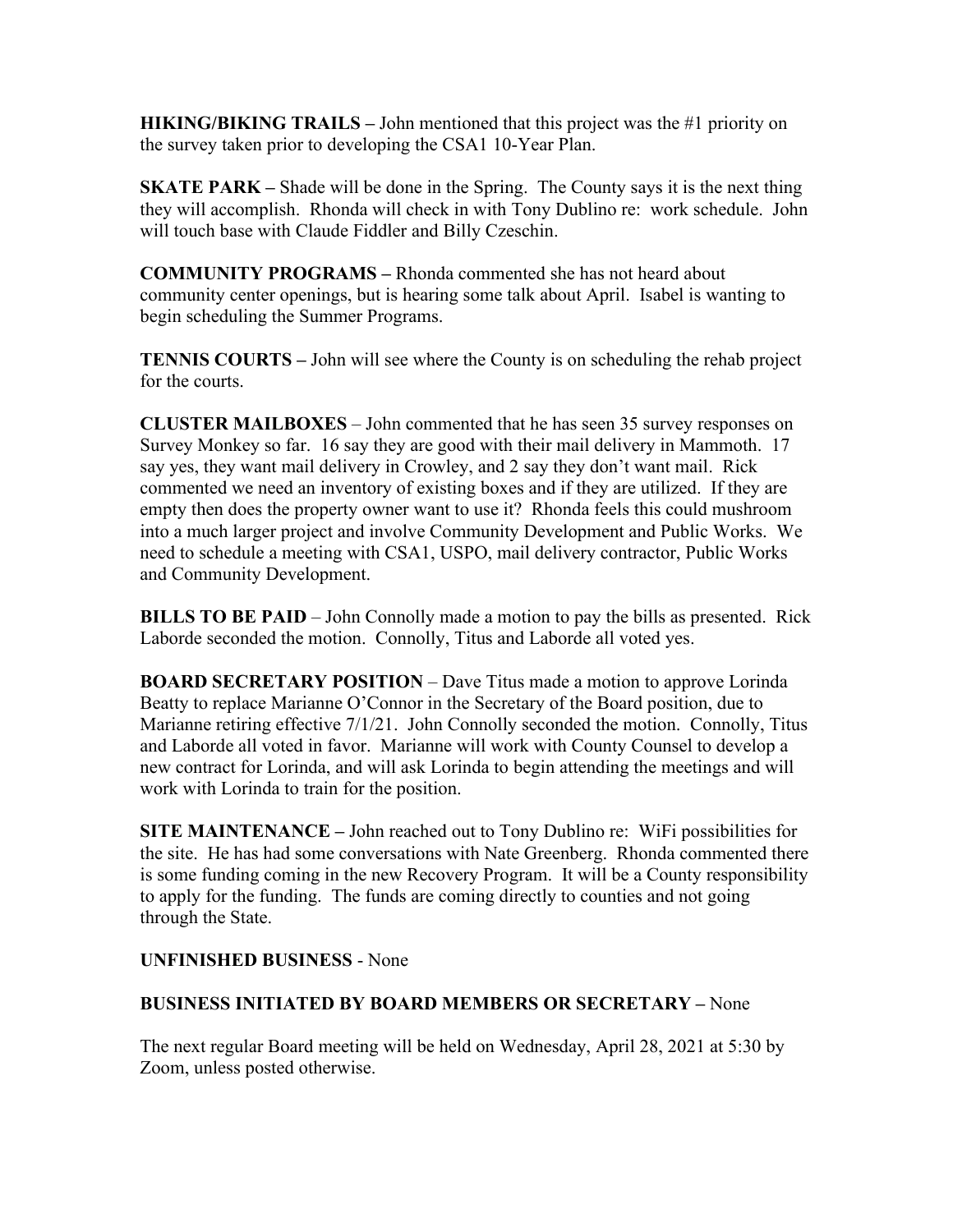**HIKING/BIKING TRAILS –** John mentioned that this project was the #1 priority on the survey taken prior to developing the CSA1 10-Year Plan.

**SKATE PARK** – Shade will be done in the Spring. The County says it is the next thing they will accomplish. Rhonda will check in with Tony Dublino re: work schedule. John will touch base with Claude Fiddler and Billy Czeschin.

**COMMUNITY PROGRAMS –** Rhonda commented she has not heard about community center openings, but is hearing some talk about April. Isabel is wanting to begin scheduling the Summer Programs.

**TENNIS COURTS –** John will see where the County is on scheduling the rehab project for the courts.

**CLUSTER MAILBOXES** – John commented that he has seen 35 survey responses on Survey Monkey so far. 16 say they are good with their mail delivery in Mammoth. 17 say yes, they want mail delivery in Crowley, and 2 say they don't want mail. Rick commented we need an inventory of existing boxes and if they are utilized. If they are empty then does the property owner want to use it? Rhonda feels this could mushroom into a much larger project and involve Community Development and Public Works. We need to schedule a meeting with CSA1, USPO, mail delivery contractor, Public Works and Community Development.

**BILLS TO BE PAID** – John Connolly made a motion to pay the bills as presented. Rick Laborde seconded the motion. Connolly, Titus and Laborde all voted yes.

**BOARD SECRETARY POSITION** – Dave Titus made a motion to approve Lorinda Beatty to replace Marianne O'Connor in the Secretary of the Board position, due to Marianne retiring effective 7/1/21. John Connolly seconded the motion. Connolly, Titus and Laborde all voted in favor. Marianne will work with County Counsel to develop a new contract for Lorinda, and will ask Lorinda to begin attending the meetings and will work with Lorinda to train for the position.

**SITE MAINTENANCE –** John reached out to Tony Dublino re: WiFi possibilities for the site. He has had some conversations with Nate Greenberg. Rhonda commented there is some funding coming in the new Recovery Program. It will be a County responsibility to apply for the funding. The funds are coming directly to counties and not going through the State.

## **UNFINISHED BUSINESS** - None

## **BUSINESS INITIATED BY BOARD MEMBERS OR SECRETARY –** None

The next regular Board meeting will be held on Wednesday, April 28, 2021 at 5:30 by Zoom, unless posted otherwise.